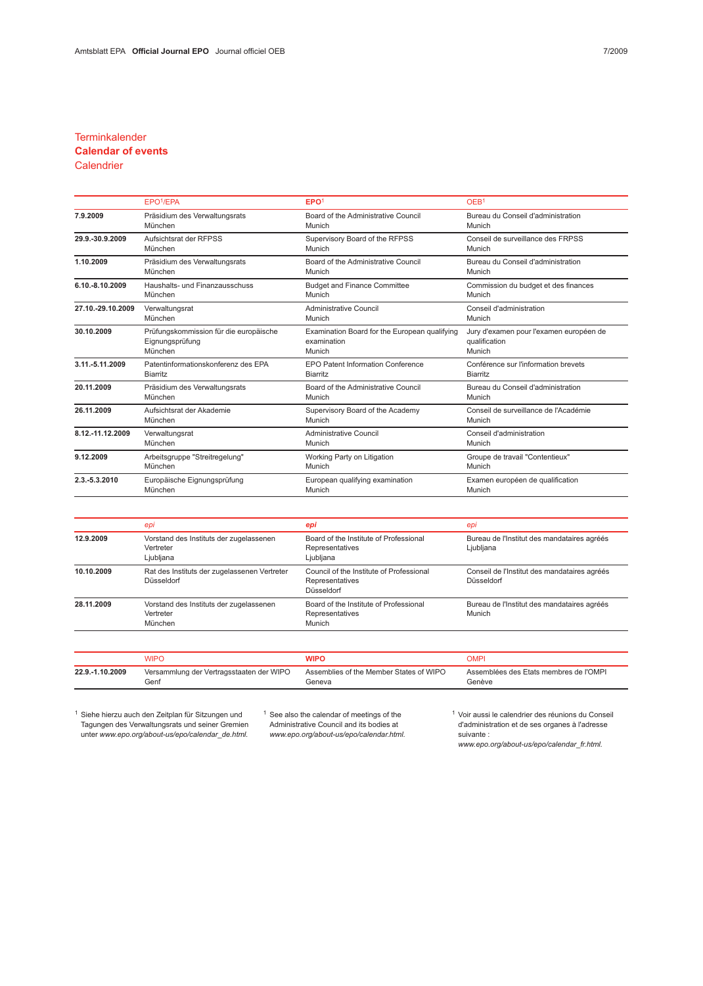### **Terminkalender**

# Calendar of events

## **Calendrier**

|                   | EPO <sup>1</sup> /EPA                  | EPO <sup>1</sup>                              | OEB <sup>1</sup>                        |  |
|-------------------|----------------------------------------|-----------------------------------------------|-----------------------------------------|--|
| 7.9.2009          | Präsidium des Verwaltungsrats          | Board of the Administrative Council           | Bureau du Conseil d'administration      |  |
|                   | München                                | Munich                                        | Munich                                  |  |
| 29.9.-30.9.2009   | Aufsichtsrat der RFPSS                 | Supervisory Board of the RFPSS                | Conseil de surveillance des FRPSS       |  |
|                   | München                                | Munich                                        | Munich                                  |  |
| 1.10.2009         | Präsidium des Verwaltungsrats          | Board of the Administrative Council           | Bureau du Conseil d'administration      |  |
|                   | München                                | Munich                                        | Munich                                  |  |
| 6.10.-8.10.2009   | Haushalts- und Finanzausschuss         | <b>Budget and Finance Committee</b>           | Commission du budget et des finances    |  |
|                   | München                                | Munich                                        | Munich                                  |  |
| 27.10.-29.10.2009 | Verwaltungsrat                         | Administrative Council                        | Conseil d'administration                |  |
|                   | München                                | Munich                                        | Munich                                  |  |
| 30.10.2009        | Prüfungskommission für die europäische | Examination Board for the European qualifying | Jury d'examen pour l'examen européen de |  |
|                   | Eignungsprüfung                        | examination                                   | qualification                           |  |
|                   | München                                | Munich                                        | Munich                                  |  |
| 3.11.-5.11.2009   | Patentinformationskonferenz des EPA    | <b>EPO Patent Information Conference</b>      | Conférence sur l'information brevets    |  |
|                   | <b>Biarritz</b>                        | <b>Biarritz</b>                               | <b>Biarritz</b>                         |  |
| 20.11.2009        | Präsidium des Verwaltungsrats          | Board of the Administrative Council           | Bureau du Conseil d'administration      |  |
|                   | München                                | Munich                                        | Munich                                  |  |
| 26.11.2009        | Aufsichtsrat der Akademie              | Supervisory Board of the Academy              | Conseil de surveillance de l'Académie   |  |
|                   | München                                | Munich                                        | Munich                                  |  |
| 8.12.-11.12.2009  | Verwaltungsrat                         | Administrative Council                        | Conseil d'administration                |  |
|                   | München                                | Munich                                        | Munich                                  |  |
| 9.12.2009         | Arbeitsgruppe "Streitregelung"         | Working Party on Litigation                   | Groupe de travail "Contentieux"         |  |
|                   | München                                | Munich                                        | Munich                                  |  |
| 2.3.-5.3.2010     | Europäische Eignungsprüfung            | European qualifying examination               | Examen européen de qualification        |  |
|                   | München                                | Munich                                        | Munich                                  |  |

|            | epi                                                               | epi                                                                       | epi                                                        |
|------------|-------------------------------------------------------------------|---------------------------------------------------------------------------|------------------------------------------------------------|
| 12.9.2009  | Vorstand des Instituts der zugelassenen<br>Vertreter<br>Ljubljana | Board of the Institute of Professional<br>Representatives<br>Ljubljana    | Bureau de l'Institut des mandataires agréés<br>Ljubljana   |
| 10.10.2009 | Rat des Instituts der zugelassenen Vertreter<br>Düsseldorf        | Council of the Institute of Professional<br>Representatives<br>Düsseldorf | Conseil de l'Institut des mandataires agréés<br>Düsseldorf |
| 28.11.2009 | Vorstand des Instituts der zugelassenen<br>Vertreter<br>München   | Board of the Institute of Professional<br>Representatives<br>Munich       | Bureau de l'Institut des mandataires agréés<br>Munich      |

|                 | WIPC                                     |                                         | JMPI.                                  |
|-----------------|------------------------------------------|-----------------------------------------|----------------------------------------|
| 22.9.-1.10.2009 | Versammlung der Vertragsstaaten der WIPO | Assemblies of the Member States of WIPO | Assemblées des Etats membres de l'OMPI |
|                 | Genf                                     | Geneva                                  | Genève                                 |

<sup>1</sup> Siehe hierzu auch den Zeitplan für Sitzungen und Tagungen des Verwaltungsrats und seiner Gremien unter www.epo.org/about-us/epo/calendar\_de.html. <sup>1</sup> See also the calendar of meetings of the Administrative Council and its bodies at www.epo.org/about-us/epo/calendar.html. <sup>1</sup> Voir aussi le calendrier des réunions du Conseil d'administration et de ses organes à l'adresse suivante :

www.epo.org/about-us/epo/calendar\_fr.html.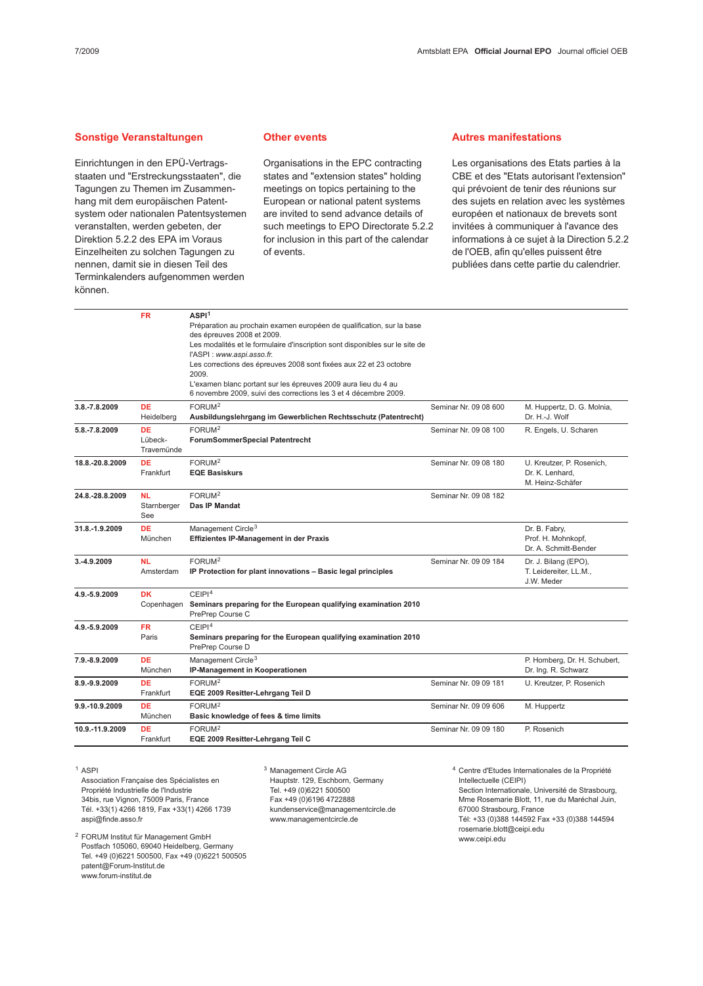#### Sonstige Veranstaltungen

Einrichtungen in den EPÜ-Vertragsstaaten und "Erstreckungsstaaten", die Tagungen zu Themen im Zusammenhang mit dem europäischen Patentsystem oder nationalen Patentsystemen veranstalten, werden gebeten, der Direktion 5.2.2 des EPA im Voraus Einzelheiten zu solchen Tagungen zu nennen, damit sie in diesen Teil des Terminkalenders aufgenommen werden können.

#### Other events

Organisations in the EPC contracting states and "extension states" holding meetings on topics pertaining to the European or national patent systems are invited to send advance details of such meetings to EPO Directorate 5.2.2 for inclusion in this part of the calendar of events.

#### Autres manifestations

Les organisations des Etats parties à la CBE et des "Etats autorisant l'extension" qui prévoient de tenir des réunions sur des sujets en relation avec les systèmes européen et nationaux de brevets sont invitées à communiquer à l'avance des informations à ce sujet à la Direction 5.2.2 de l'OEB, afin qu'elles puissent être publiées dans cette partie du calendrier.

|                 | <b>FR</b>   | ASPI <sup>1</sup>                                                            |                       |                              |
|-----------------|-------------|------------------------------------------------------------------------------|-----------------------|------------------------------|
|                 |             | Préparation au prochain examen européen de qualification, sur la base        |                       |                              |
|                 |             | des épreuves 2008 et 2009.                                                   |                       |                              |
|                 |             | Les modalités et le formulaire d'inscription sont disponibles sur le site de |                       |                              |
|                 |             | l'ASPI : www.aspi.asso.fr.                                                   |                       |                              |
|                 |             | Les corrections des épreuves 2008 sont fixées aux 22 et 23 octobre           |                       |                              |
|                 |             | 2009.                                                                        |                       |                              |
|                 |             | L'examen blanc portant sur les épreuves 2009 aura lieu du 4 au               |                       |                              |
|                 |             | 6 novembre 2009, suivi des corrections les 3 et 4 décembre 2009.             |                       |                              |
| 3.8.-7.8.2009   | <b>DE</b>   | FORUM <sup>2</sup>                                                           | Seminar Nr. 09 08 600 | M. Huppertz, D. G. Molnia,   |
|                 | Heidelberg  | Ausbildungslehrgang im Gewerblichen Rechtsschutz (Patentrecht)               |                       | Dr. H.-J. Wolf               |
| 5.8.-7.8.2009   | <b>DE</b>   | FORUM <sup>2</sup>                                                           | Seminar Nr. 09 08 100 | R. Engels, U. Scharen        |
|                 | Lübeck-     | ForumSommerSpecial Patentrecht                                               |                       |                              |
|                 | Travemünde  |                                                                              |                       |                              |
| 18.8.-20.8.2009 | <b>DE</b>   | FORUM <sup>2</sup>                                                           | Seminar Nr. 09 08 180 | U. Kreutzer, P. Rosenich,    |
|                 | Frankfurt   | <b>EQE Basiskurs</b>                                                         |                       | Dr. K. Lenhard,              |
|                 |             |                                                                              |                       | M. Heinz-Schäfer             |
| 24.8.-28.8.2009 | <b>NL</b>   | FORUM <sup>2</sup>                                                           | Seminar Nr. 09 08 182 |                              |
|                 | Starnberger | Das IP Mandat                                                                |                       |                              |
|                 | See         |                                                                              |                       |                              |
| 31.8.-1.9.2009  | <b>DE</b>   | Management Circle $3$                                                        |                       | Dr. B. Fabry,                |
|                 | München     | <b>Effizientes IP-Management in der Praxis</b>                               |                       | Prof. H. Mohnkopf,           |
|                 |             |                                                                              |                       | Dr. A. Schmitt-Bender        |
| 3.-4.9.2009     | <b>NL</b>   | FORUM <sup>2</sup>                                                           | Seminar Nr. 09 09 184 | Dr. J. Bilang (EPO),         |
|                 | Amsterdam   | IP Protection for plant innovations - Basic legal principles                 |                       | T. Leidereiter, LL.M.,       |
|                 |             |                                                                              |                       | J.W. Meder                   |
| 4.9.-5.9.2009   | <b>DK</b>   | CEIPI <sup>4</sup>                                                           |                       |                              |
|                 | Copenhagen  | Seminars preparing for the European qualifying examination 2010              |                       |                              |
|                 |             | PrePrep Course C                                                             |                       |                              |
| 4.9.-5.9.2009   | FR.         | CEIPI <sup>4</sup>                                                           |                       |                              |
|                 | Paris       | Seminars preparing for the European qualifying examination 2010              |                       |                              |
|                 |             | PrePrep Course D                                                             |                       |                              |
| 7.9.-8.9.2009   | <b>DE</b>   | Management Circle <sup>3</sup>                                               |                       | P. Homberg, Dr. H. Schubert, |
|                 | München     | IP-Management in Kooperationen                                               |                       | Dr. Ing. R. Schwarz          |
| 8.9.-9.9.2009   | <b>DE</b>   | FORUM <sup>2</sup>                                                           | Seminar Nr. 09 09 181 | U. Kreutzer, P. Rosenich     |
|                 | Frankfurt   | EQE 2009 Resitter-Lehrgang Teil D                                            |                       |                              |
| 9.9.-10.9.2009  | <b>DE</b>   | FORUM <sup>2</sup>                                                           | Seminar Nr. 09 09 606 | M. Huppertz                  |
|                 | München     | Basic knowledge of fees & time limits                                        |                       |                              |
| 10.9.-11.9.2009 | <b>DE</b>   | FORUM <sup>2</sup>                                                           | Seminar Nr. 09 09 180 | P. Rosenich                  |
|                 | Frankfurt   | EQE 2009 Resitter-Lehrgang Teil C                                            |                       |                              |

<sup>1</sup> ASPI

Association Française des Spécialistes en Propriété Industrielle de l'Industrie 34bis, rue Vignon, 75009 Paris, France Tél. +33(1) 4266 1819, Fax +33(1) 4266 1739 aspi@finde.asso.fr

<sup>2</sup> FORUM Institut für Management GmbH Postfach 105060, 69040 Heidelberg, Germany Tel. +49 (0)6221 500500, Fax +49 (0)6221 500505 patent@Forum-Institut.de www.forum-institut.de

<sup>3</sup> Management Circle AG Hauptstr. 129, Eschborn, Germany Tel. +49 (0)6221 500500 Fax +49 (0)6196 4722888 kundenservice@managementcircle.de www.managementcircle.de

<sup>4</sup> Centre d'Etudes Internationales de la Propriété Intellectuelle (CEIPI) Section Internationale, Université de Strasbourg, Mme Rosemarie Blott, 11, rue du Maréchal Juin, 67000 Strasbourg, France Tél: +33 (0)388 144592 Fax +33 (0)388 144594 rosemarie.blott@ceipi.edu www.ceipi.edu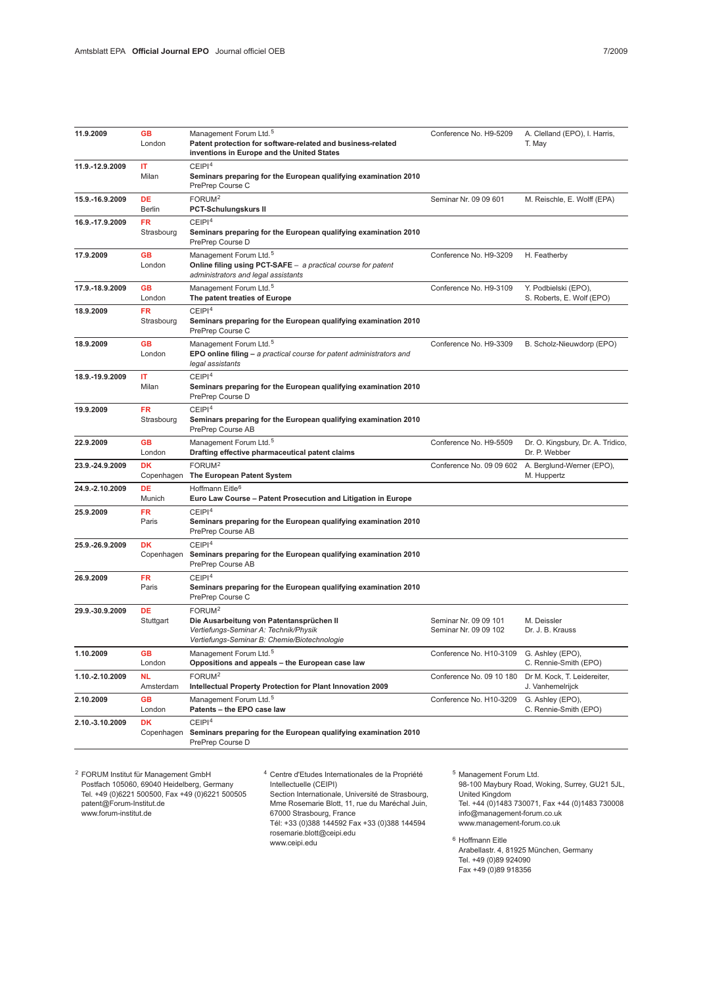| 11.9.2009       | <b>GB</b><br>London     | Management Forum Ltd. <sup>5</sup><br>Patent protection for software-related and business-related<br>inventions in Europe and the United States         | Conference No. H9-5209                         | A. Clelland (EPO), I. Harris,<br>T. May            |
|-----------------|-------------------------|---------------------------------------------------------------------------------------------------------------------------------------------------------|------------------------------------------------|----------------------------------------------------|
| 11.9.-12.9.2009 | ΙT<br>Milan             | CEIPI <sup>4</sup><br>Seminars preparing for the European qualifying examination 2010<br>PrePrep Course C                                               |                                                |                                                    |
| 15.9.-16.9.2009 | DE<br>Berlin            | FORUM <sup>2</sup><br><b>PCT-Schulungskurs II</b>                                                                                                       | Seminar Nr. 09 09 601                          | M. Reischle, E. Wolff (EPA)                        |
| 16.9.-17.9.2009 | <b>FR</b><br>Strasbourg | CEIPI <sup>4</sup><br>Seminars preparing for the European qualifying examination 2010<br>PrePrep Course D                                               |                                                |                                                    |
| 17.9.2009       | <b>GB</b><br>London     | Management Forum Ltd. <sup>5</sup><br>Online filing using PCT-SAFE - a practical course for patent<br>administrators and legal assistants               | Conference No. H9-3209                         | H. Featherby                                       |
| 17.9.-18.9.2009 | <b>GB</b><br>London     | Management Forum Ltd. <sup>5</sup><br>The patent treaties of Europe                                                                                     | Conference No. H9-3109                         | Y. Podbielski (EPO),<br>S. Roberts, E. Wolf (EPO)  |
| 18.9.2009       | FR<br>Strasbourg        | CEIP1 <sup>4</sup><br>Seminars preparing for the European qualifying examination 2010<br>PrePrep Course C                                               |                                                |                                                    |
| 18.9.2009       | <b>GB</b><br>London     | Management Forum Ltd. <sup>5</sup><br>EPO online filing $-$ a practical course for patent administrators and<br>legal assistants                        | Conference No. H9-3309                         | B. Scholz-Nieuwdorp (EPO)                          |
| 18.9.-19.9.2009 | ΙT<br>Milan             | CEIP1 <sup>4</sup><br>Seminars preparing for the European qualifying examination 2010<br>PrePrep Course D                                               |                                                |                                                    |
| 19.9.2009       | <b>FR</b><br>Strasbourg | CEIPI <sup>4</sup><br>Seminars preparing for the European qualifying examination 2010<br>PrePrep Course AB                                              |                                                |                                                    |
| 22.9.2009       | <b>GB</b><br>London     | Management Forum Ltd. <sup>5</sup><br>Drafting effective pharmaceutical patent claims                                                                   | Conference No. H9-5509                         | Dr. O. Kingsbury, Dr. A. Tridico,<br>Dr. P. Webber |
| 23.9.-24.9.2009 | <b>DK</b>               | FORUM <sup>2</sup><br>Copenhagen The European Patent System                                                                                             | Conference No. 09 09 602                       | A. Berglund-Werner (EPO),<br>M. Huppertz           |
| 24.9.-2.10.2009 | <b>DE</b><br>Munich     | Hoffmann Eitle <sup>6</sup><br>Euro Law Course - Patent Prosecution and Litigation in Europe                                                            |                                                |                                                    |
| 25.9.2009       | <b>FR</b><br>Paris      | CEIP1 <sup>4</sup><br>Seminars preparing for the European qualifying examination 2010<br>PrePrep Course AB                                              |                                                |                                                    |
| 25.9.-26.9.2009 | <b>DK</b><br>Copenhagen | CEIP1 <sup>4</sup><br>Seminars preparing for the European qualifying examination 2010<br>PrePrep Course AB                                              |                                                |                                                    |
| 26.9.2009       | <b>FR</b><br>Paris      | CEIPI <sup>4</sup><br>Seminars preparing for the European qualifying examination 2010<br>PrePrep Course C                                               |                                                |                                                    |
| 29.9.-30.9.2009 | DE<br>Stuttgart         | FORUM <sup>2</sup><br>Die Ausarbeitung von Patentansprüchen II<br>Vertiefungs-Seminar A: Technik/Physik<br>Vertiefungs-Seminar B: Chemie/Biotechnologie | Seminar Nr. 09 09 101<br>Seminar Nr. 09 09 102 | M. Deissler<br>Dr. J. B. Krauss                    |
| 1.10.2009       | <b>GB</b><br>London     | Management Forum Ltd. <sup>5</sup><br>Oppositions and appeals - the European case law                                                                   | Conference No. H10-3109                        | G. Ashley (EPO),<br>C. Rennie-Smith (EPO)          |
| 1.10.-2.10.2009 | <b>NL</b><br>Amsterdam  | FORUM <sup>2</sup><br>Intellectual Property Protection for Plant Innovation 2009                                                                        | Conference No. 09 10 180                       | Dr M. Kock, T. Leidereiter,<br>J. Vanhemelrijck    |
| 2.10.2009       | <b>GB</b><br>London     | Management Forum Ltd. <sup>5</sup><br>Patents - the EPO case law                                                                                        | Conference No. H10-3209                        | G. Ashley (EPO),<br>C. Rennie-Smith (EPO)          |
| 2.10.-3.10.2009 | DK<br>Copenhagen        | CEIPI <sup>4</sup><br>Seminars preparing for the European qualifying examination 2010<br>PrePrep Course D                                               |                                                |                                                    |

<sup>2</sup> FORUM Institut für Management GmbH Postfach 105060, 69040 Heidelberg, Germany Tel. +49 (0)6221 500500, Fax +49 (0)6221 500505 patent@Forum-Institut.de www.forum-institut.de

<sup>4</sup> Centre d'Etudes Internationales de la Propriété Intellectuelle (CEIPI)

Section Internationale, Université de Strasbourg, Mme Rosemarie Blott, 11, rue du Maréchal Juin, 67000 Strasbourg, France Tél: +33 (0)388 144592 Fax +33 (0)388 144594 rosemarie.blott@ceipi.edu www.ceipi.edu

<sup>5</sup> Management Forum Ltd. 98-100 Maybury Road, Woking, Surrey, GU21 5JL, United Kingdom Tel. +44 (0)1483 730071, Fax +44 (0)1483 730008 info@management-forum.co.uk www.management-forum.co.uk

<sup>6</sup> Hoffmann Eitle Arabellastr. 4, 81925 München, Germany Tel. +49 (0)89 924090 Fax +49 (0)89 918356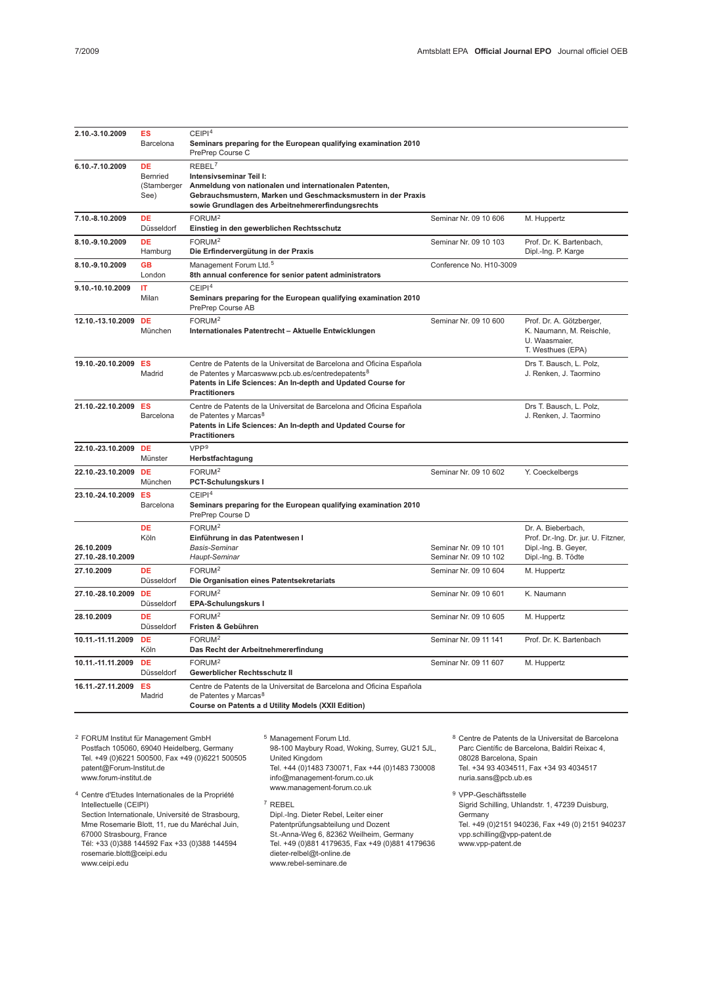| 2.10.-3.10.2009      | <b>ES</b>            | CEIPI <sup>4</sup>                                                                                                                      |                         |                                                           |
|----------------------|----------------------|-----------------------------------------------------------------------------------------------------------------------------------------|-------------------------|-----------------------------------------------------------|
|                      | Barcelona            | Seminars preparing for the European qualifying examination 2010<br>PrePrep Course C                                                     |                         |                                                           |
| 6.10.-7.10.2009      | <b>DE</b>            | REBEL <sup>7</sup>                                                                                                                      |                         |                                                           |
|                      | <b>Bernried</b>      | Intensivseminar Teil I:                                                                                                                 |                         |                                                           |
|                      | (Starnberger<br>See) | Anmeldung von nationalen und internationalen Patenten,<br>Gebrauchsmustern, Marken und Geschmacksmustern in der Praxis                  |                         |                                                           |
|                      |                      | sowie Grundlagen des Arbeitnehmererfindungsrechts                                                                                       |                         |                                                           |
| 7.10.-8.10.2009      | <b>DE</b>            | FORUM <sup>2</sup>                                                                                                                      | Seminar Nr. 09 10 606   | M. Huppertz                                               |
|                      | Düsseldorf           | Einstieg in den gewerblichen Rechtsschutz                                                                                               |                         |                                                           |
| 8.10.-9.10.2009      | <b>DE</b>            | FORUM <sup>2</sup>                                                                                                                      | Seminar Nr. 09 10 103   | Prof. Dr. K. Bartenbach,                                  |
|                      | Hamburg              | Die Erfindervergütung in der Praxis                                                                                                     |                         | Dipl.-Ing. P. Karge                                       |
| 8.10.-9.10.2009      | <b>GB</b>            | Management Forum Ltd. <sup>5</sup>                                                                                                      | Conference No. H10-3009 |                                                           |
|                      | London               | 8th annual conference for senior patent administrators                                                                                  |                         |                                                           |
| 9.10.-10.10.2009     | IT                   | CEIP1 <sup>4</sup>                                                                                                                      |                         |                                                           |
|                      | Milan                | Seminars preparing for the European qualifying examination 2010<br>PrePrep Course AB                                                    |                         |                                                           |
| 12.10.-13.10.2009    | <b>DE</b>            | FORUM <sup>2</sup>                                                                                                                      | Seminar Nr. 09 10 600   | Prof. Dr. A. Götzberger,                                  |
|                      | München              | Internationales Patentrecht - Aktuelle Entwicklungen                                                                                    |                         | K. Naumann, M. Reischle,                                  |
|                      |                      |                                                                                                                                         |                         | U. Waasmaier,                                             |
|                      |                      |                                                                                                                                         |                         | T. Westhues (EPA)                                         |
| 19.10.-20.10.2009 ES | Madrid               | Centre de Patents de la Universitat de Barcelona and Oficina Española<br>de Patentes y Marcaswww.pcb.ub.es/centredepatents <sup>8</sup> |                         | Drs T. Bausch, L. Polz,<br>J. Renken, J. Taormino         |
|                      |                      | Patents in Life Sciences: An In-depth and Updated Course for                                                                            |                         |                                                           |
|                      |                      | <b>Practitioners</b>                                                                                                                    |                         |                                                           |
| 21.10.-22.10.2009    | ES                   | Centre de Patents de la Universitat de Barcelona and Oficina Española                                                                   |                         | Drs T. Bausch, L. Polz,                                   |
|                      | Barcelona            | de Patentes y Marcas <sup>8</sup>                                                                                                       |                         | J. Renken, J. Taormino                                    |
|                      |                      | Patents in Life Sciences: An In-depth and Updated Course for<br><b>Practitioners</b>                                                    |                         |                                                           |
| 22.10.-23.10.2009 DE |                      | VPP <sup>9</sup>                                                                                                                        |                         |                                                           |
|                      | Münster              | Herbstfachtagung                                                                                                                        |                         |                                                           |
| 22.10.-23.10.2009    | <b>DE</b>            | FORUM <sup>2</sup>                                                                                                                      | Seminar Nr. 09 10 602   | Y. Coeckelbergs                                           |
|                      | München              | PCT-Schulungskurs I                                                                                                                     |                         |                                                           |
| 23.10.-24.10.2009    | ES                   | CEIPI <sup>4</sup>                                                                                                                      |                         |                                                           |
|                      | Barcelona            | Seminars preparing for the European qualifying examination 2010                                                                         |                         |                                                           |
|                      |                      | PrePrep Course D                                                                                                                        |                         |                                                           |
|                      | <b>DE</b><br>Köln    | FORUM <sup>2</sup><br>Einführung in das Patentwesen I                                                                                   |                         | Dr. A. Bieberbach,<br>Prof. Dr.-Ing. Dr. jur. U. Fitzner, |
| 26.10.2009           |                      | <b>Basis-Seminar</b>                                                                                                                    | Seminar Nr. 09 10 101   | Dipl.-Ing. B. Geyer,                                      |
| 27.10.-28.10.2009    |                      | Haupt-Seminar                                                                                                                           | Seminar Nr. 09 10 102   | Dipl.-Ing. B. Tödte                                       |
| 27.10.2009           | <b>DE</b>            | FORUM <sup>2</sup>                                                                                                                      | Seminar Nr. 09 10 604   | M. Huppertz                                               |
|                      | Düsseldorf           | Die Organisation eines Patentsekretariats                                                                                               |                         |                                                           |
| 27.10.-28.10.2009    | DE                   | FORUM <sup>2</sup>                                                                                                                      | Seminar Nr. 09 10 601   | K. Naumann                                                |
|                      | Düsseldorf           | EPA-Schulungskurs I                                                                                                                     |                         |                                                           |
| 28.10.2009           | <b>DE</b>            | FORUM <sup>2</sup>                                                                                                                      | Seminar Nr. 09 10 605   | M. Huppertz                                               |
|                      | Düsseldorf           | Fristen & Gebühren                                                                                                                      |                         |                                                           |
| 10.11.-11.11.2009    | <b>DE</b><br>Köln    | FORUM <sup>2</sup><br>Das Recht der Arbeitnehmererfindung                                                                               | Seminar Nr. 09 11 141   | Prof. Dr. K. Bartenbach                                   |
| 10.11.-11.11.2009    | <b>DE</b>            | FORUM <sup>2</sup>                                                                                                                      | Seminar Nr. 09 11 607   | M. Huppertz                                               |
|                      | Düsseldorf           | Gewerblicher Rechtsschutz II                                                                                                            |                         |                                                           |
| 16.11.-27.11.2009    | <b>ES</b>            | Centre de Patents de la Universitat de Barcelona and Oficina Española                                                                   |                         |                                                           |
|                      | Madrid               | de Patentes y Marcas <sup>8</sup><br>Course on Patents a d Utility Models (XXII Edition)                                                |                         |                                                           |
|                      |                      |                                                                                                                                         |                         |                                                           |

<sup>2</sup> FORUM Institut für Management GmbH Postfach 105060, 69040 Heidelberg, Germany Tel. +49 (0)6221 500500, Fax +49 (0)6221 500505 patent@Forum-Institut.de www.forum-institut.de

- <sup>4</sup> Centre d'Etudes Internationales de la Propriété Intellectuelle (CEIPI) Section Internationale, Université de Strasbourg, Mme Rosemarie Blott, 11, rue du Maréchal Juin, 67000 Strasbourg, France
- Tél: +33 (0)388 144592 Fax +33 (0)388 144594 rosemarie.blott@ceipi.edu

www.ceipi.edu

<sup>5</sup> Management Forum Ltd. 98-100 Maybury Road, Woking, Surrey, GU21 5JL, United Kingdom Tel. +44 (0)1483 730071, Fax +44 (0)1483 730008 info@management-forum.co.uk www.management-forum.co.uk

<sup>7</sup> REBEL Dipl.-Ing. Dieter Rebel, Leiter einer Patentprüfungsabteilung und Dozent St.-Anna-Weg 6, 82362 Weilheim, Germany Tel. +49 (0)881 4179635, Fax +49 (0)881 4179636 dieter-relbel@t-online.de www.rebel-seminare.de

<sup>8</sup> Centre de Patents de la Universitat de Barcelona Parc Científic de Barcelona, Baldiri Reixac 4, 08028 Barcelona, Spain Tel. +34 93 4034511, Fax +34 93 4034517 nuria.sans@pcb.ub.es

<sup>9</sup> VPP-Geschäftsstelle Sigrid Schilling, Uhlandstr. 1, 47239 Duisburg, **Germany** Tel. +49 (0)2151 940236, Fax +49 (0) 2151 940237 vpp.schilling@vpp-patent.de www.vpp-patent.de